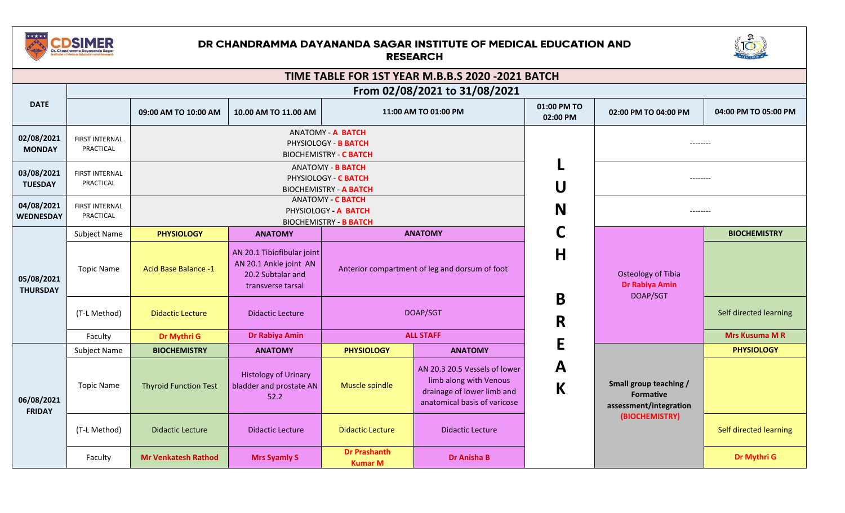

## DR CHANDRAMMA DAYANANDA SAGAR INSTITUTE OF MEDICAL EDUCATION AND **RESEARCH**



| TIME TABLE FOR 1ST YEAR M.B.B.S 2020 -2021 BATCH<br>From 02/08/2021 to 31/08/2021 |                                    |                                                                                   |                                                                                                |                                                                                   |                                                                                                                       |                         |                                                         |                                                                      |  |
|-----------------------------------------------------------------------------------|------------------------------------|-----------------------------------------------------------------------------------|------------------------------------------------------------------------------------------------|-----------------------------------------------------------------------------------|-----------------------------------------------------------------------------------------------------------------------|-------------------------|---------------------------------------------------------|----------------------------------------------------------------------|--|
|                                                                                   |                                    |                                                                                   |                                                                                                |                                                                                   |                                                                                                                       |                         |                                                         |                                                                      |  |
| <b>DATE</b>                                                                       |                                    | 09:00 AM TO 10:00 AM                                                              | 10.00 AM TO 11.00 AM                                                                           |                                                                                   | 11:00 AM TO 01:00 PM                                                                                                  | 01:00 PM TO<br>02:00 PM | 02:00 PM TO 04:00 PM                                    | 04:00 PM TO 05:00 PM                                                 |  |
| 02/08/2021<br><b>MONDAY</b>                                                       | <b>FIRST INTERNAL</b><br>PRACTICAL | <b>ANATOMY - A BATCH</b><br>PHYSIOLOGY - B BATCH<br><b>BIOCHEMISTRY - C BATCH</b> |                                                                                                |                                                                                   |                                                                                                                       |                         | --------                                                |                                                                      |  |
| 03/08/2021<br><b>TUESDAY</b>                                                      | <b>FIRST INTERNAL</b><br>PRACTICAL |                                                                                   |                                                                                                | <b>ANATOMY - B BATCH</b><br>PHYSIOLOGY - C BATCH<br><b>BIOCHEMISTRY - A BATCH</b> |                                                                                                                       | U                       | --------                                                |                                                                      |  |
| 04/08/2021<br><b>WEDNESDAY</b>                                                    | FIRST INTERNAL<br>PRACTICAL        |                                                                                   | <b>ANATOMY - C BATCH</b><br>PHYSIOLOGY - A BATCH<br><b>BIOCHEMISTRY - B BATCH</b>              |                                                                                   |                                                                                                                       |                         | --------                                                |                                                                      |  |
|                                                                                   | <b>Subject Name</b>                | <b>PHYSIOLOGY</b>                                                                 | <b>ANATOMY</b>                                                                                 |                                                                                   | <b>ANATOMY</b>                                                                                                        | C                       |                                                         | <b>BIOCHEMISTRY</b>                                                  |  |
| 05/08/2021<br><b>THURSDAY</b>                                                     | <b>Topic Name</b>                  | <b>Acid Base Balance -1</b>                                                       | AN 20.1 Tibiofibular joint<br>AN 20.1 Ankle joint AN<br>20.2 Subtalar and<br>transverse tarsal |                                                                                   | Anterior compartment of leg and dorsum of foot                                                                        | H                       | <b>Osteology of Tibia</b><br>Dr Rabiya Amin<br>DOAP/SGT |                                                                      |  |
|                                                                                   | (T-L Method)                       | <b>Didactic Lecture</b>                                                           | <b>Didactic Lecture</b>                                                                        |                                                                                   | DOAP/SGT                                                                                                              | B<br>R                  |                                                         | Self directed learning                                               |  |
|                                                                                   | Faculty                            | Dr Mythri G                                                                       | <b>Dr Rabiya Amin</b>                                                                          |                                                                                   | <b>ALL STAFF</b>                                                                                                      | E                       |                                                         | <b>Mrs Kusuma M R</b>                                                |  |
|                                                                                   | <b>Subject Name</b>                | <b>BIOCHEMISTRY</b>                                                               | <b>ANATOMY</b>                                                                                 | <b>PHYSIOLOGY</b>                                                                 | <b>ANATOMY</b>                                                                                                        |                         |                                                         | <b>PHYSIOLOGY</b>                                                    |  |
| 06/08/2021<br><b>FRIDAY</b>                                                       | <b>Topic Name</b>                  | <b>Thyroid Function Test</b>                                                      | <b>Histology of Urinary</b><br>bladder and prostate AN<br>52.2                                 | Muscle spindle                                                                    | AN 20.3 20.5 Vessels of lower<br>limb along with Venous<br>drainage of lower limb and<br>anatomical basis of varicose | A<br>$\mathsf K$        |                                                         | Small group teaching /<br><b>Formative</b><br>assessment/integration |  |
|                                                                                   | (T-L Method)                       | <b>Didactic Lecture</b>                                                           | <b>Didactic Lecture</b>                                                                        | <b>Didactic Lecture</b>                                                           | <b>Didactic Lecture</b>                                                                                               |                         | (BIOCHEMISTRY)                                          | Self directed learning                                               |  |
|                                                                                   | Faculty                            | <b>Mr Venkatesh Rathod</b>                                                        | <b>Mrs Syamly S</b>                                                                            | <b>Dr Prashanth</b><br><b>Kumar M</b>                                             | <b>Dr Anisha B</b>                                                                                                    |                         |                                                         | <b>Dr Mythri G</b>                                                   |  |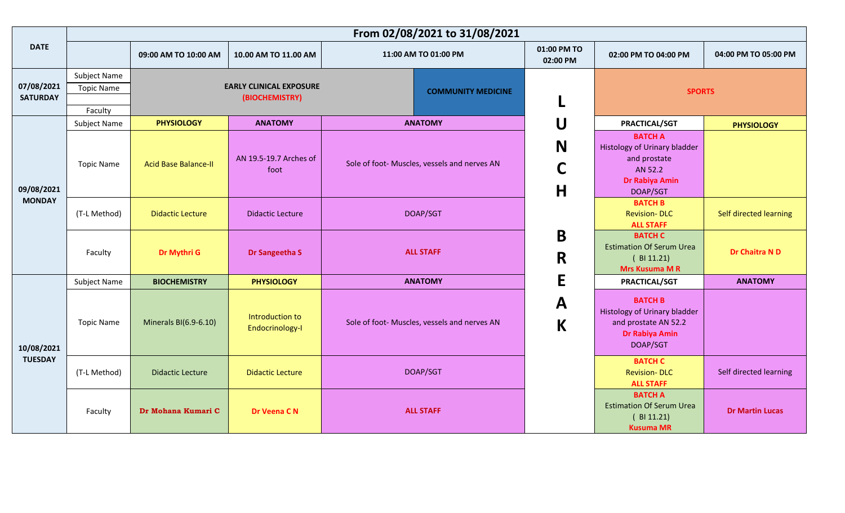| <b>DATE</b>                   |                                              | 09:00 AM TO 10:00 AM        | 10.00 AM TO 11.00 AM                             |                                              | 11:00 AM TO 01:00 PM                         | 01:00 PM TO<br>02:00 PM     | 02:00 PM TO 04:00 PM                                                                                               | 04:00 PM TO 05:00 PM   |
|-------------------------------|----------------------------------------------|-----------------------------|--------------------------------------------------|----------------------------------------------|----------------------------------------------|-----------------------------|--------------------------------------------------------------------------------------------------------------------|------------------------|
| 07/08/2021<br><b>SATURDAY</b> | Subject Name<br><b>Topic Name</b><br>Faculty |                             | <b>EARLY CLINICAL EXPOSURE</b><br>(BIOCHEMISTRY) |                                              | <b>COMMUNITY MEDICINE</b>                    |                             | <b>SPORTS</b>                                                                                                      |                        |
|                               | Subject Name                                 | <b>PHYSIOLOGY</b>           | <b>ANATOMY</b>                                   |                                              | <b>ANATOMY</b>                               | U                           | PRACTICAL/SGT                                                                                                      | <b>PHYSIOLOGY</b>      |
| 09/08/2021<br><b>MONDAY</b>   | <b>Topic Name</b>                            | <b>Acid Base Balance-II</b> | AN 19.5-19.7 Arches of<br>foot                   | Sole of foot- Muscles, vessels and nerves AN |                                              | N<br>C<br>H                 | <b>BATCH A</b><br><b>Histology of Urinary bladder</b><br>and prostate<br>AN 52.2<br>Dr Rabiya Amin<br>DOAP/SGT     |                        |
|                               | (T-L Method)                                 | <b>Didactic Lecture</b>     | <b>Didactic Lecture</b>                          | DOAP/SGT                                     |                                              |                             | <b>BATCH B</b><br><b>Revision-DLC</b><br><b>ALL STAFF</b>                                                          | Self directed learning |
|                               | Faculty                                      | Dr Mythri G                 | Dr Sangeetha S                                   | <b>ALL STAFF</b>                             |                                              | $\mathbf B$<br>R            | <b>BATCH C</b><br><b>Estimation Of Serum Urea</b><br>(BI 11.21)<br><b>Mrs Kusuma M R</b>                           | Dr Chaitra N D         |
|                               | <b>Subject Name</b>                          | <b>BIOCHEMISTRY</b>         | <b>PHYSIOLOGY</b>                                |                                              | <b>ANATOMY</b>                               | E                           | <b>PRACTICAL/SGT</b>                                                                                               | <b>ANATOMY</b>         |
| 10/08/2021<br><b>TUESDAY</b>  | <b>Topic Name</b>                            | Minerals BI(6.9-6.10)       | Introduction to<br>Endocrinology-I               |                                              | Sole of foot- Muscles, vessels and nerves AN | $\mathbf{A}$<br>$\mathsf K$ | <b>BATCH B</b><br><b>Histology of Urinary bladder</b><br>and prostate AN 52.2<br><b>Dr Rabiya Amin</b><br>DOAP/SGT |                        |
|                               | (T-L Method)                                 | <b>Didactic Lecture</b>     | <b>Didactic Lecture</b>                          |                                              | DOAP/SGT                                     |                             | <b>BATCH C</b><br><b>Revision-DLC</b><br><b>ALL STAFF</b>                                                          | Self directed learning |
|                               | Faculty                                      | Dr Mohana Kumari C          | Dr Veena CN                                      | <b>ALL STAFF</b>                             |                                              |                             | <b>BATCH A</b><br><b>Estimation Of Serum Urea</b><br>(B11.21)<br><b>Kusuma MR</b>                                  | <b>Dr Martin Lucas</b> |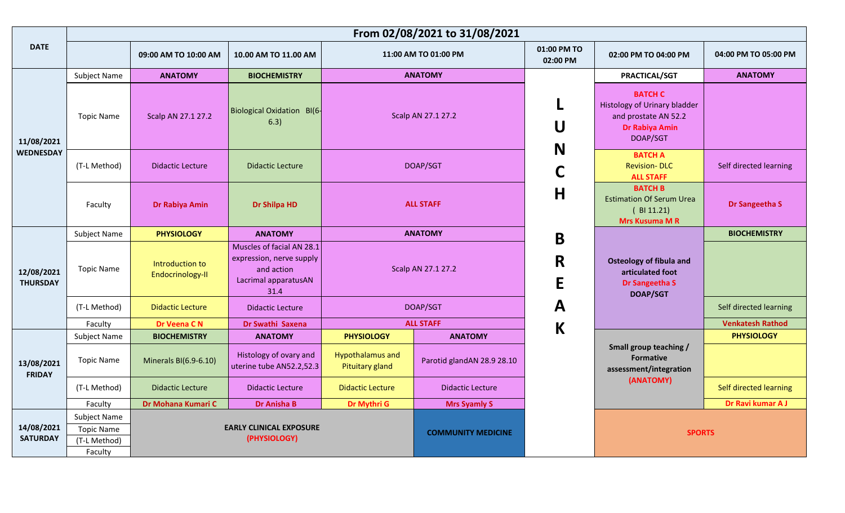|                                |                                                              |                                     |                                                                                                     | From 02/08/2021 to 31/08/2021                     |                            |                         |                                                                                                                    |                         |
|--------------------------------|--------------------------------------------------------------|-------------------------------------|-----------------------------------------------------------------------------------------------------|---------------------------------------------------|----------------------------|-------------------------|--------------------------------------------------------------------------------------------------------------------|-------------------------|
| <b>DATE</b>                    |                                                              | 09:00 AM TO 10:00 AM                | 10.00 AM TO 11.00 AM                                                                                |                                                   | 11:00 AM TO 01:00 PM       | 01:00 PM TO<br>02:00 PM | 02:00 PM TO 04:00 PM                                                                                               | 04:00 PM TO 05:00 PM    |
| 11/08/2021<br><b>WEDNESDAY</b> | Subject Name                                                 | <b>ANATOMY</b>                      | <b>BIOCHEMISTRY</b>                                                                                 |                                                   | <b>ANATOMY</b>             |                         | PRACTICAL/SGT                                                                                                      | <b>ANATOMY</b>          |
|                                | <b>Topic Name</b>                                            | Scalp AN 27.1 27.2                  | Biological Oxidation BI(6-<br>6.3)                                                                  | Scalp AN 27.1 27.2                                |                            | N                       | <b>BATCH C</b><br><b>Histology of Urinary bladder</b><br>and prostate AN 52.2<br><b>Dr Rabiya Amin</b><br>DOAP/SGT |                         |
|                                | (T-L Method)                                                 | <b>Didactic Lecture</b>             | <b>Didactic Lecture</b>                                                                             |                                                   | DOAP/SGT                   | C                       | <b>BATCH A</b><br><b>Revision-DLC</b><br><b>ALL STAFF</b>                                                          | Self directed learning  |
|                                | Faculty                                                      | Dr Rabiya Amin                      | <b>Dr Shilpa HD</b>                                                                                 |                                                   | <b>ALL STAFF</b>           |                         | <b>BATCH B</b><br><b>Estimation Of Serum Urea</b><br>(B11.21)<br><b>Mrs Kusuma MR</b>                              | Dr Sangeetha S          |
| 12/08/2021<br><b>THURSDAY</b>  | Subject Name                                                 | <b>PHYSIOLOGY</b>                   | <b>ANATOMY</b>                                                                                      |                                                   | <b>ANATOMY</b>             | $\mathbf B$             |                                                                                                                    | <b>BIOCHEMISTRY</b>     |
|                                | <b>Topic Name</b>                                            | Introduction to<br>Endocrinology-II | Muscles of facial AN 28.1<br>expression, nerve supply<br>and action<br>Lacrimal apparatusAN<br>31.4 | Scalp AN 27.1 27.2                                |                            | R<br>E                  | <b>Osteology of fibula and</b><br>articulated foot<br>Dr Sangeetha S<br><b>DOAP/SGT</b>                            |                         |
|                                | (T-L Method)                                                 | <b>Didactic Lecture</b>             | Didactic Lecture                                                                                    |                                                   | DOAP/SGT                   | $\mathsf{A}$            |                                                                                                                    | Self directed learning  |
|                                | Faculty                                                      | Dr Veena CN                         | Dr Swathi Saxena                                                                                    |                                                   | <b>ALL STAFF</b>           | $\mathsf K$             |                                                                                                                    | <b>Venkatesh Rathod</b> |
|                                | Subject Name                                                 | <b>BIOCHEMISTRY</b>                 | <b>ANATOMY</b>                                                                                      | <b>PHYSIOLOGY</b>                                 | <b>ANATOMY</b>             |                         |                                                                                                                    | <b>PHYSIOLOGY</b>       |
| 13/08/2021<br><b>FRIDAY</b>    | <b>Topic Name</b>                                            | Minerals BI(6.9-6.10)               | Histology of ovary and<br>uterine tube AN52.2,52.3                                                  | <b>Hypothalamus and</b><br><b>Pituitary gland</b> | Parotid glandAN 28.9 28.10 |                         | Small group teaching /<br><b>Formative</b><br>assessment/integration                                               |                         |
|                                | (T-L Method)                                                 | <b>Didactic Lecture</b>             | <b>Didactic Lecture</b>                                                                             | <b>Didactic Lecture</b>                           | <b>Didactic Lecture</b>    |                         | (ANATOMY)                                                                                                          | Self directed learning  |
|                                | Faculty                                                      | Dr Mohana Kumari C                  | <b>Dr Anisha B</b>                                                                                  | Dr Mythri G                                       | <b>Mrs Syamly S</b>        |                         |                                                                                                                    | Dr Ravi kumar A J       |
| 14/08/2021<br><b>SATURDAY</b>  | Subject Name<br><b>Topic Name</b><br>(T-L Method)<br>Faculty |                                     | <b>EARLY CLINICAL EXPOSURE</b><br>(PHYSIOLOGY)                                                      |                                                   | <b>COMMUNITY MEDICINE</b>  |                         | <b>SPORTS</b>                                                                                                      |                         |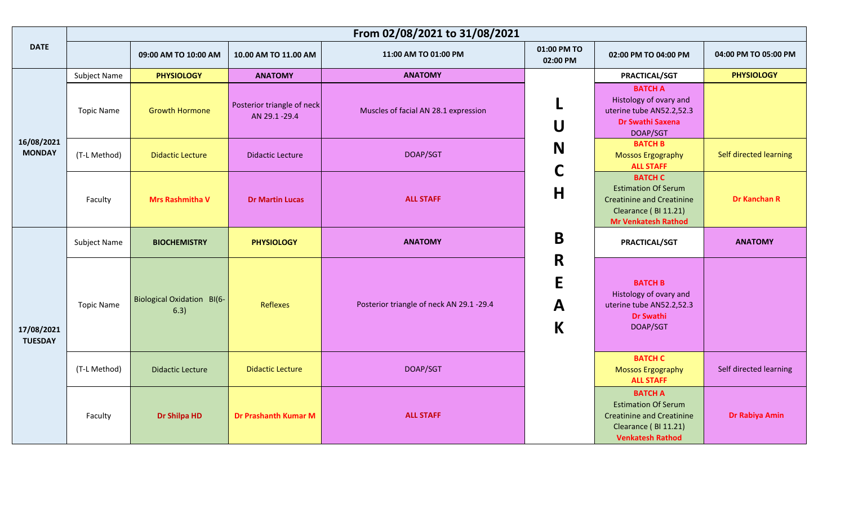|                              |                   | From 02/08/2021 to 31/08/2021             |                                            |                                           |                         |                                                                                                                                        |                        |  |  |  |
|------------------------------|-------------------|-------------------------------------------|--------------------------------------------|-------------------------------------------|-------------------------|----------------------------------------------------------------------------------------------------------------------------------------|------------------------|--|--|--|
| <b>DATE</b>                  |                   | 09:00 AM TO 10:00 AM                      | 10.00 AM TO 11.00 AM                       | 11:00 AM TO 01:00 PM                      | 01:00 PM TO<br>02:00 PM | 02:00 PM TO 04:00 PM                                                                                                                   | 04:00 PM TO 05:00 PM   |  |  |  |
|                              | Subject Name      | <b>PHYSIOLOGY</b>                         | <b>ANATOMY</b>                             | <b>ANATOMY</b>                            |                         | PRACTICAL/SGT                                                                                                                          | <b>PHYSIOLOGY</b>      |  |  |  |
| 16/08/2021<br><b>MONDAY</b>  | <b>Topic Name</b> | <b>Growth Hormone</b>                     | Posterior triangle of neck<br>AN 29.1-29.4 | Muscles of facial AN 28.1 expression<br>U |                         | <b>BATCH A</b><br>Histology of ovary and<br>uterine tube AN52.2,52.3<br>Dr Swathi Saxena<br>DOAP/SGT                                   |                        |  |  |  |
|                              | (T-L Method)      | <b>Didactic Lecture</b>                   | <b>Didactic Lecture</b>                    | DOAP/SGT                                  | N                       | <b>BATCH B</b><br><b>Mossos Ergography</b><br><b>ALL STAFF</b>                                                                         | Self directed learning |  |  |  |
|                              | Faculty           | <b>Mrs Rashmitha V</b>                    | <b>Dr Martin Lucas</b>                     | <b>ALL STAFF</b>                          | $\mathsf C$<br>H        | <b>BATCH C</b><br><b>Estimation Of Serum</b><br><b>Creatinine and Creatinine</b><br>Clearance (BI 11.21)<br><b>Mr Venkatesh Rathod</b> | <b>Dr Kanchan R</b>    |  |  |  |
| 17/08/2021<br><b>TUESDAY</b> | Subject Name      | <b>BIOCHEMISTRY</b>                       | <b>PHYSIOLOGY</b>                          | <b>ANATOMY</b>                            | B                       | PRACTICAL/SGT                                                                                                                          | <b>ANATOMY</b>         |  |  |  |
|                              | <b>Topic Name</b> | <b>Biological Oxidation BI(6-</b><br>6.3) | Reflexes                                   | Posterior triangle of neck AN 29.1 -29.4  | R<br>E<br>A<br>K        | <b>BATCH B</b><br>Histology of ovary and<br>uterine tube AN52.2,52.3<br><b>Dr Swathi</b><br>DOAP/SGT                                   |                        |  |  |  |
|                              | (T-L Method)      | <b>Didactic Lecture</b>                   | <b>Didactic Lecture</b>                    | DOAP/SGT                                  |                         | <b>BATCH C</b><br><b>Mossos Ergography</b><br><b>ALL STAFF</b>                                                                         | Self directed learning |  |  |  |
|                              | Faculty           | <b>Dr Shilpa HD</b>                       | <b>Dr Prashanth Kumar M</b>                | <b>ALL STAFF</b>                          |                         | <b>BATCH A</b><br><b>Estimation Of Serum</b><br><b>Creatinine and Creatinine</b><br>Clearance (BI 11.21)<br><b>Venkatesh Rathod</b>    | Dr Rabiya Amin         |  |  |  |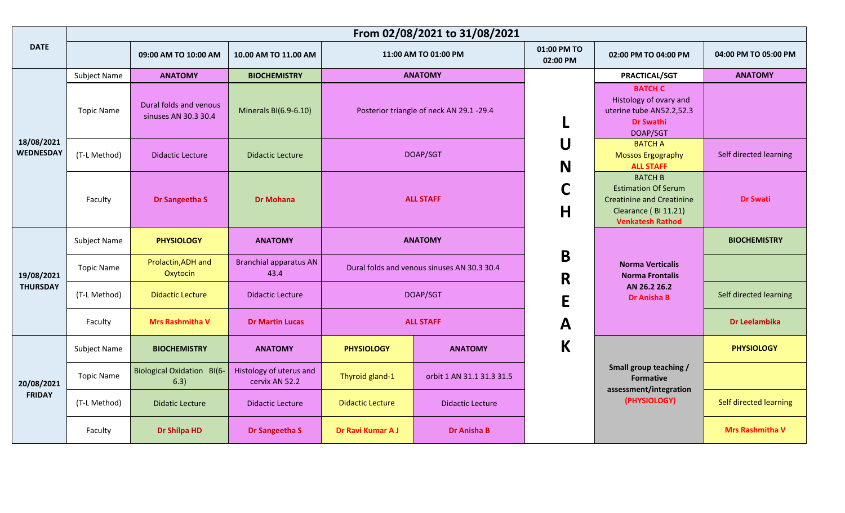|                                |                   | From 02/08/2021 to 31/08/2021                  |                                           |                                             |                           |                         |                                                                                                                                     |                        |
|--------------------------------|-------------------|------------------------------------------------|-------------------------------------------|---------------------------------------------|---------------------------|-------------------------|-------------------------------------------------------------------------------------------------------------------------------------|------------------------|
| <b>DATE</b>                    |                   | 09:00 AM TO 10:00 AM                           | 10.00 AM TO 11.00 AM                      |                                             | 11:00 AM TO 01:00 PM      | 01:00 PM TO<br>02:00 PM | 02:00 PM TO 04:00 PM                                                                                                                | 04:00 PM TO 05:00 PM   |
|                                | Subject Name      | <b>ANATOMY</b>                                 | <b>BIOCHEMISTRY</b>                       |                                             | <b>ANATOMY</b>            |                         | PRACTICAL/SGT                                                                                                                       | <b>ANATOMY</b>         |
|                                | <b>Topic Name</b> | Dural folds and venous<br>sinuses AN 30.3 30.4 | Minerals BI(6.9-6.10)                     | Posterior triangle of neck AN 29.1-29.4     |                           |                         | <b>BATCH C</b><br>Histology of ovary and<br>uterine tube AN52.2,52.3<br><b>Dr Swathi</b><br>DOAP/SGT                                |                        |
| 18/08/2021<br><b>WEDNESDAY</b> | (T-L Method)      | <b>Didactic Lecture</b>                        | <b>Didactic Lecture</b>                   |                                             |                           | U                       | <b>BATCH A</b><br>Mossos Ergography                                                                                                 | Self directed learning |
|                                |                   |                                                |                                           | DOAP/SGT                                    |                           | N                       | <b>ALL STAFF</b>                                                                                                                    |                        |
|                                | Faculty           | Dr Sangeetha S                                 | <b>Dr Mohana</b>                          | <b>ALL STAFF</b>                            |                           | C<br>H                  | <b>BATCH B</b><br><b>Estimation Of Serum</b><br><b>Creatinine and Creatinine</b><br>Clearance (BI 11.21)<br><b>Venkatesh Rathod</b> | <b>Dr Swati</b>        |
|                                | Subject Name      | <b>PHYSIOLOGY</b>                              | <b>ANATOMY</b>                            | <b>ANATOMY</b>                              |                           |                         |                                                                                                                                     | <b>BIOCHEMISTRY</b>    |
| 19/08/2021                     | <b>Topic Name</b> | Prolactin, ADH and<br>Oxytocin                 | <b>Branchial apparatus AN</b><br>43.4     | Dural folds and venous sinuses AN 30.3 30.4 |                           | B<br>R                  | <b>Norma Verticalis</b><br><b>Norma Frontalis</b>                                                                                   |                        |
| <b>THURSDAY</b>                | (T-L Method)      | <b>Didactic Lecture</b>                        | <b>Didactic Lecture</b>                   | DOAP/SGT                                    |                           | E                       | AN 26.2 26.2<br><b>Dr Anisha B</b>                                                                                                  | Self directed learning |
|                                | Faculty           | <b>Mrs Rashmitha V</b>                         | <b>Dr Martin Lucas</b>                    |                                             | <b>ALL STAFF</b>          |                         |                                                                                                                                     | Dr Leelambika          |
|                                | Subject Name      | <b>BIOCHEMISTRY</b>                            | <b>ANATOMY</b>                            | <b>PHYSIOLOGY</b>                           | <b>ANATOMY</b>            | $\mathsf K$             |                                                                                                                                     | <b>PHYSIOLOGY</b>      |
| 20/08/2021                     | <b>Topic Name</b> | <b>Biological Oxidation BI(6-</b><br>6.3)      | Histology of uterus and<br>cervix AN 52.2 | Thyroid gland-1                             | orbit 1 AN 31.1 31.3 31.5 |                         | Small group teaching /<br><b>Formative</b><br>assessment/integration                                                                |                        |
| <b>FRIDAY</b>                  | (T-L Method)      | Didatic Lecture                                | <b>Didactic Lecture</b>                   | <b>Didactic Lecture</b>                     | <b>Didactic Lecture</b>   |                         | (PHYSIOLOGY)                                                                                                                        | Self directed learning |
|                                | Faculty           | <b>Dr Shilpa HD</b>                            | Dr Sangeetha S                            | Dr Ravi Kumar A J                           | <b>Dr Anisha B</b>        |                         |                                                                                                                                     | <b>Mrs Rashmitha V</b> |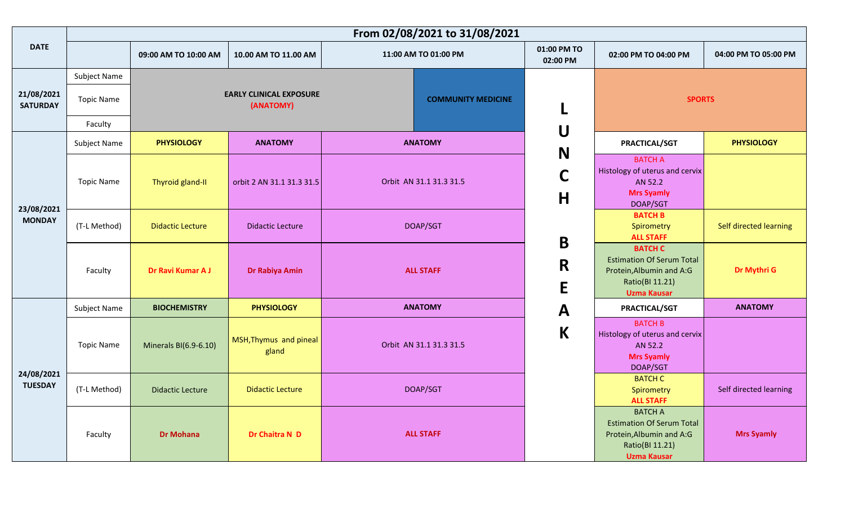| <b>DATE</b>                   |                   | 09:00 AM TO 10:00 AM    | 10.00 AM TO 11.00 AM                        | 11:00 AM TO 01:00 PM      | 01:00 PM TO<br>02:00 PM | 02:00 PM TO 04:00 PM                                                                                                    | 04:00 PM TO 05:00 PM   |
|-------------------------------|-------------------|-------------------------|---------------------------------------------|---------------------------|-------------------------|-------------------------------------------------------------------------------------------------------------------------|------------------------|
|                               | Subject Name      |                         |                                             |                           |                         |                                                                                                                         |                        |
| 21/08/2021<br><b>SATURDAY</b> | <b>Topic Name</b> |                         | <b>EARLY CLINICAL EXPOSURE</b><br>(ANATOMY) | <b>COMMUNITY MEDICINE</b> | L                       | <b>SPORTS</b>                                                                                                           |                        |
|                               | Faculty           |                         |                                             |                           | U                       |                                                                                                                         |                        |
| 23/08/2021<br><b>MONDAY</b>   | Subject Name      | <b>PHYSIOLOGY</b>       | <b>ANATOMY</b>                              | <b>ANATOMY</b>            | N                       | <b>PRACTICAL/SGT</b>                                                                                                    | <b>PHYSIOLOGY</b>      |
|                               | <b>Topic Name</b> | Thyroid gland-II        | orbit 2 AN 31.1 31.3 31.5                   | Orbit AN 31.1 31.3 31.5   | C                       | <b>BATCH A</b><br>Histology of uterus and cervix<br>AN 52.2                                                             |                        |
|                               |                   |                         |                                             |                           | H                       | <b>Mrs Syamly</b><br>DOAP/SGT                                                                                           |                        |
|                               | (T-L Method)      | <b>Didactic Lecture</b> | <b>Didactic Lecture</b>                     | DOAP/SGT                  |                         | <b>BATCH B</b><br>Spirometry<br><b>ALL STAFF</b>                                                                        | Self directed learning |
|                               | Faculty           | Dr Ravi Kumar A J       | Dr Rabiya Amin                              | <b>ALL STAFF</b>          | B<br>R<br>E             | <b>BATCH C</b><br><b>Estimation Of Serum Total</b><br>Protein, Albumin and A:G<br>Ratio(BI 11.21)<br><b>Uzma Kausar</b> | Dr Mythri G            |
|                               | Subject Name      | <b>BIOCHEMISTRY</b>     | <b>PHYSIOLOGY</b>                           | <b>ANATOMY</b>            | $\mathbf{A}$            | PRACTICAL/SGT                                                                                                           | <b>ANATOMY</b>         |
|                               | <b>Topic Name</b> | Minerals BI(6.9-6.10)   | MSH, Thymus and pineal<br>gland             | Orbit AN 31.1 31.3 31.5   | $\mathsf K$             | <b>BATCH B</b><br>Histology of uterus and cervix<br>AN 52.2<br><b>Mrs Syamly</b><br>DOAP/SGT                            |                        |
| 24/08/2021<br><b>TUESDAY</b>  | (T-L Method)      | <b>Didactic Lecture</b> | <b>Didactic Lecture</b>                     | DOAP/SGT                  |                         | <b>BATCH C</b><br>Spirometry<br><b>ALL STAFF</b>                                                                        | Self directed learning |
|                               | Faculty           | <b>Dr Mohana</b>        | Dr Chaitra N D                              | <b>ALL STAFF</b>          |                         | <b>BATCH A</b><br><b>Estimation Of Serum Total</b><br>Protein, Albumin and A:G<br>Ratio(BI 11.21)<br><b>Uzma Kausar</b> | <b>Mrs Syamly</b>      |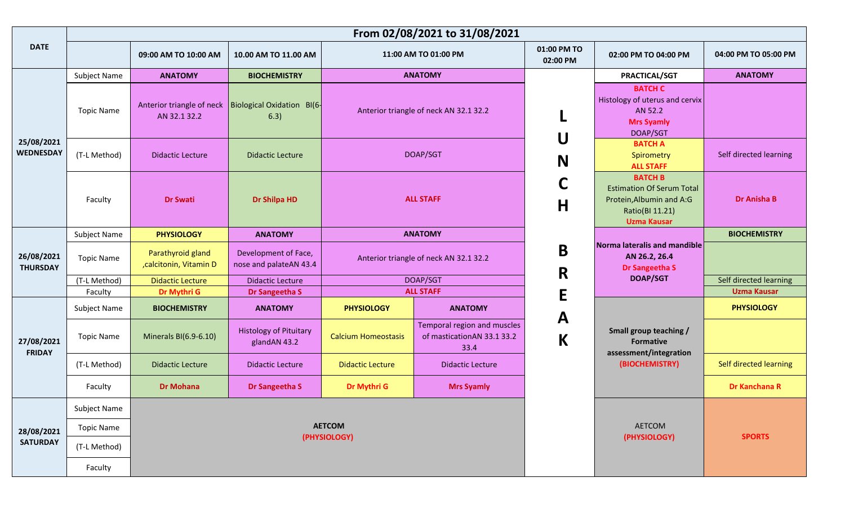| <b>DATE</b>                    |                                   | 09:00 AM TO 10:00 AM                        | 10.00 AM TO 11.00 AM                           |                                        | 11:00 AM TO 01:00 PM                                              | 01:00 PM TO<br>02:00 PM | 02:00 PM TO 04:00 PM                                                                                                    | 04:00 PM TO 05:00 PM   |
|--------------------------------|-----------------------------------|---------------------------------------------|------------------------------------------------|----------------------------------------|-------------------------------------------------------------------|-------------------------|-------------------------------------------------------------------------------------------------------------------------|------------------------|
|                                | Subject Name                      | <b>ANATOMY</b>                              | <b>BIOCHEMISTRY</b>                            |                                        | <b>ANATOMY</b>                                                    |                         | <b>PRACTICAL/SGT</b>                                                                                                    | <b>ANATOMY</b>         |
| 25/08/2021<br><b>WEDNESDAY</b> | <b>Topic Name</b>                 | Anterior triangle of neck<br>AN 32.1 32.2   | Biological Oxidation BI(6-<br>6.3)             |                                        | Anterior triangle of neck AN 32.1 32.2                            |                         | <b>BATCH C</b><br>Histology of uterus and cervix<br>AN 52.2<br><b>Mrs Syamly</b><br>DOAP/SGT                            |                        |
|                                | (T-L Method)                      | <b>Didactic Lecture</b>                     | <b>Didactic Lecture</b>                        | DOAP/SGT                               |                                                                   | U<br>N                  | <b>BATCH A</b><br>Spirometry<br><b>ALL STAFF</b>                                                                        | Self directed learning |
|                                | Faculty                           | <b>Dr Swati</b>                             | <b>Dr Shilpa HD</b>                            | <b>ALL STAFF</b>                       |                                                                   | C<br>$\mathsf H$        | <b>BATCH B</b><br><b>Estimation Of Serum Total</b><br>Protein, Albumin and A:G<br>Ratio(BI 11.21)<br><b>Uzma Kausar</b> | <b>Dr Anisha B</b>     |
|                                | Subject Name                      | <b>PHYSIOLOGY</b>                           | <b>ANATOMY</b>                                 |                                        | <b>ANATOMY</b>                                                    |                         |                                                                                                                         | <b>BIOCHEMISTRY</b>    |
| 26/08/2021<br><b>THURSDAY</b>  | <b>Topic Name</b>                 | Parathyroid gland<br>,calcitonin, Vitamin D | Development of Face,<br>nose and palateAN 43.4 | Anterior triangle of neck AN 32.1 32.2 |                                                                   | $\mathbf B$<br>R        | Norma lateralis and mandible<br>AN 26.2, 26.4<br>Dr Sangeetha S                                                         |                        |
|                                | (T-L Method)                      | <b>Didactic Lecture</b>                     | <b>Didactic Lecture</b>                        | DOAP/SGT                               |                                                                   |                         | <b>DOAP/SGT</b>                                                                                                         | Self directed learning |
|                                | Faculty                           | Dr Mythri G                                 | Dr Sangeetha S                                 |                                        | <b>ALL STAFF</b>                                                  | E                       |                                                                                                                         | <b>Uzma Kausar</b>     |
|                                | Subject Name                      | <b>BIOCHEMISTRY</b>                         | <b>ANATOMY</b>                                 | <b>PHYSIOLOGY</b>                      | <b>ANATOMY</b>                                                    |                         |                                                                                                                         | <b>PHYSIOLOGY</b>      |
| 27/08/2021<br><b>FRIDAY</b>    | <b>Topic Name</b>                 | Minerals BI(6.9-6.10)                       | <b>Histology of Pituitary</b><br>glandAN 43.2  | <b>Calcium Homeostasis</b>             | Temporal region and muscles<br>of masticationAN 33.1 33.2<br>33.4 | A<br>$\mathsf K$        | Small group teaching /<br><b>Formative</b><br>assessment/integration                                                    |                        |
|                                | (T-L Method)                      | <b>Didactic Lecture</b>                     | <b>Didactic Lecture</b>                        | <b>Didactic Lecture</b>                | <b>Didactic Lecture</b>                                           |                         | (BIOCHEMISTRY)                                                                                                          | Self directed learning |
|                                | Faculty                           | <b>Dr Mohana</b>                            | Dr Sangeetha S                                 | Dr Mythri G                            | <b>Mrs Syamly</b>                                                 |                         |                                                                                                                         | Dr Kanchana R          |
| 28/08/2021                     | Subject Name<br><b>Topic Name</b> |                                             |                                                | <b>AETCOM</b><br>(PHYSIOLOGY)          |                                                                   |                         | <b>AETCOM</b><br>(PHYSIOLOGY)                                                                                           | <b>SPORTS</b>          |
| <b>SATURDAY</b>                | (T-L Method)                      |                                             |                                                |                                        |                                                                   |                         |                                                                                                                         |                        |
|                                | Faculty                           |                                             |                                                |                                        |                                                                   |                         |                                                                                                                         |                        |